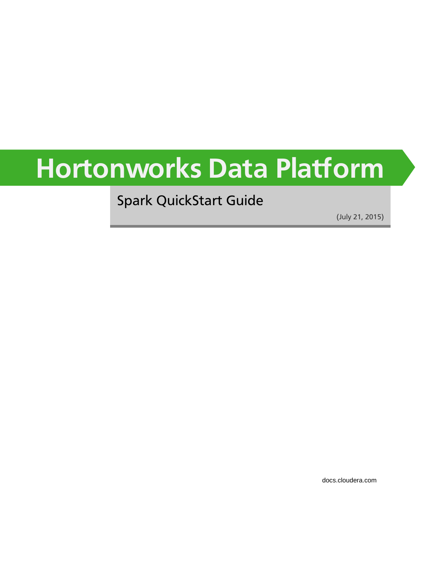# **Hortonworks Data Platform**

Spark QuickStart Guide

(July 21, 2015)

[docs.cloudera.com](http://docs.cloudera.com)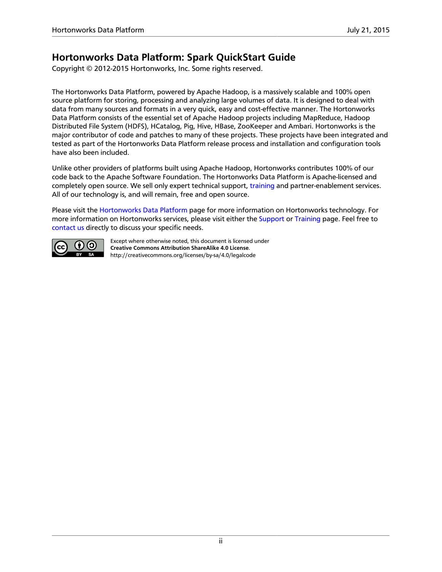### **Hortonworks Data Platform: Spark QuickStart Guide**

Copyright © 2012-2015 Hortonworks, Inc. Some rights reserved.

The Hortonworks Data Platform, powered by Apache Hadoop, is a massively scalable and 100% open source platform for storing, processing and analyzing large volumes of data. It is designed to deal with data from many sources and formats in a very quick, easy and cost-effective manner. The Hortonworks Data Platform consists of the essential set of Apache Hadoop projects including MapReduce, Hadoop Distributed File System (HDFS), HCatalog, Pig, Hive, HBase, ZooKeeper and Ambari. Hortonworks is the major contributor of code and patches to many of these projects. These projects have been integrated and tested as part of the Hortonworks Data Platform release process and installation and configuration tools have also been included.

Unlike other providers of platforms built using Apache Hadoop, Hortonworks contributes 100% of our code back to the Apache Software Foundation. The Hortonworks Data Platform is Apache-licensed and completely open source. We sell only expert technical support, [training](https://hortonworks.com/training/) and partner-enablement services. All of our technology is, and will remain, free and open source.

Please visit the [Hortonworks Data Platform](https://hortonworks.com/products/hdp/) page for more information on Hortonworks technology. For more information on Hortonworks services, please visit either the [Support](https://hortonworks.com/services/) or [Training](https://hortonworks.com/training/) page. Feel free to [contact us](https://hortonworks.com/contact-us/) directly to discuss your specific needs.



Except where otherwise noted, this document is licensed under **[Creative Commons Attribution ShareAlike 4.0 License](http://creativecommons.org/licenses/by-sa/4.0/legalcode)**. <http://creativecommons.org/licenses/by-sa/4.0/legalcode>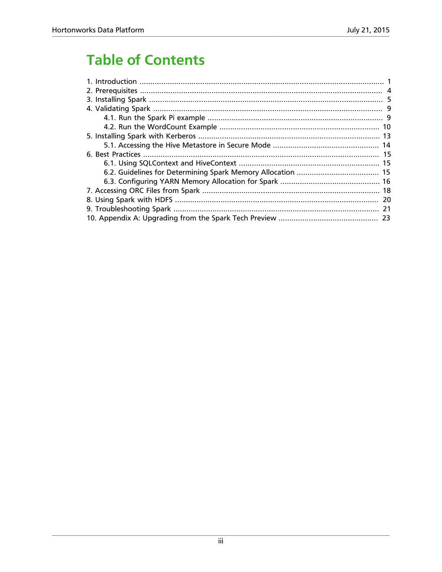### **Table of Contents**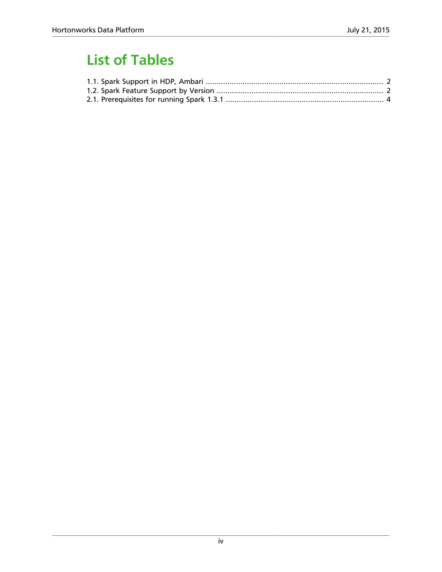### **List of Tables**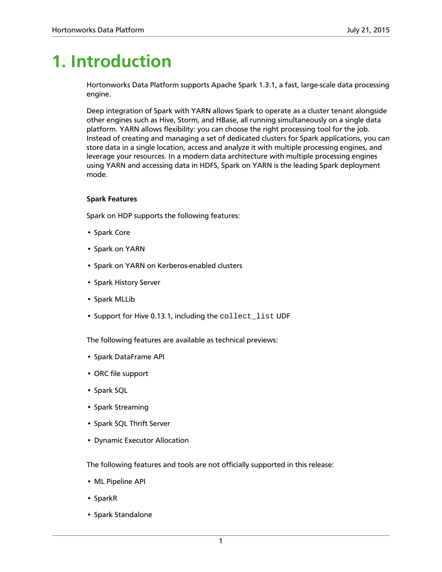# <span id="page-4-0"></span>**1. Introduction**

Hortonworks Data Platform supports Apache Spark 1.3.1, a fast, large-scale data processing engine.

Deep integration of Spark with YARN allows Spark to operate as a cluster tenant alongside other engines such as Hive, Storm, and HBase, all running simultaneously on a single data platform. YARN allows flexibility: you can choose the right processing tool for the job. Instead of creating and managing a set of dedicated clusters for Spark applications, you can store data in a single location, access and analyze it with multiple processing engines, and leverage your resources. In a modern data architecture with multiple processing engines using YARN and accessing data in HDFS, Spark on YARN is the leading Spark deployment mode.

#### **Spark Features**

Spark on HDP supports the following features:

- Spark Core
- Spark on YARN
- Spark on YARN on Kerberos-enabled clusters
- Spark History Server
- Spark MLLib
- Support for Hive 0.13.1, including the collect\_list UDF

The following features are available as technical previews:

- Spark DataFrame API
- ORC file support
- Spark SQL
- Spark Streaming
- Spark SQL Thrift Server
- Dynamic Executor Allocation

The following features and tools are not officially supported in this release:

- ML Pipeline API
- SparkR
- Spark Standalone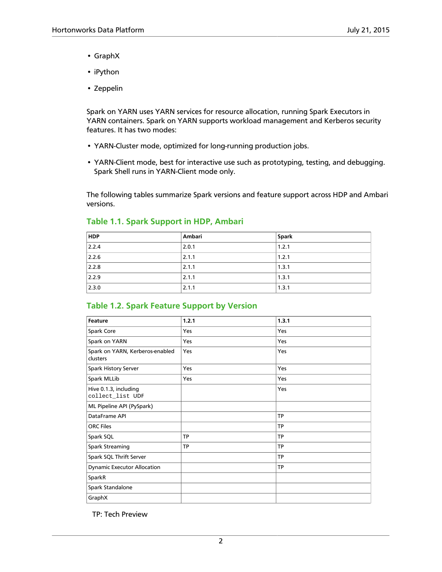- GraphX
- iPython
- Zeppelin

Spark on YARN uses YARN services for resource allocation, running Spark Executors in YARN containers. Spark on YARN supports workload management and Kerberos security features. It has two modes:

- YARN-Cluster mode, optimized for long-running production jobs.
- YARN-Client mode, best for interactive use such as prototyping, testing, and debugging. Spark Shell runs in YARN-Client mode only.

The following tables summarize Spark versions and feature support across HDP and Ambari versions.

| <b>HDP</b> | Ambari | <b>Spark</b> |
|------------|--------|--------------|
| 2.2.4      | 2.0.1  | 1.2.1        |
| 2.2.6      | 2.1.1  | 1.2.1        |
| 2.2.8      | 2.1.1  | 1.3.1        |
| 2.2.9      | 2.1.1  | 1.3.1        |
| 2.3.0      | 2.1.1  | 1.3.1        |

#### <span id="page-5-0"></span>**Table 1.1. Spark Support in HDP, Ambari**

#### <span id="page-5-1"></span>**Table 1.2. Spark Feature Support by Version**

| Feature                                     | 1.2.1     | 1.3.1     |
|---------------------------------------------|-----------|-----------|
| Spark Core                                  | Yes       | Yes       |
| Spark on YARN                               | Yes       | Yes       |
| Spark on YARN, Kerberos-enabled<br>clusters | Yes       | Yes       |
| Spark History Server                        | Yes       | Yes       |
| Spark MLLib                                 | Yes       | Yes       |
| Hive 0.1.3, including<br>collect_list UDF   |           | Yes       |
| ML Pipeline API (PySpark)                   |           |           |
| DataFrame API                               |           | <b>TP</b> |
| <b>ORC Files</b>                            |           | <b>TP</b> |
| Spark SQL                                   | <b>TP</b> | <b>TP</b> |
| <b>Spark Streaming</b>                      | <b>TP</b> | <b>TP</b> |
| Spark SQL Thrift Server                     |           | <b>TP</b> |
| <b>Dynamic Executor Allocation</b>          |           | <b>TP</b> |
| SparkR                                      |           |           |
| Spark Standalone                            |           |           |
| GraphX                                      |           |           |

TP: Tech Preview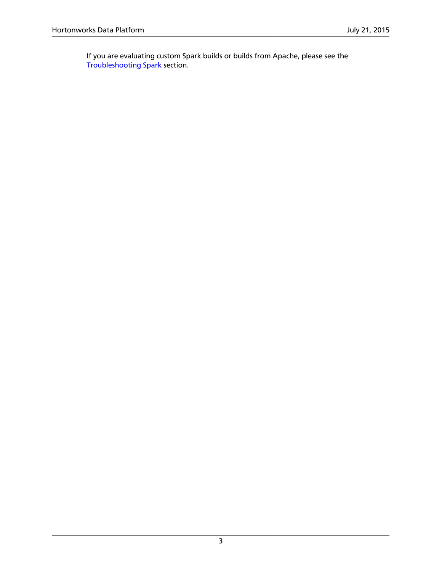If you are evaluating custom Spark builds or builds from Apache, please see the [Troubleshooting Spark](https://docs.hortonworks.com/HDPDocuments/HDP2/HDP-2.3.0/bk_spark-quickstart/content/ch_troubleshooting-spark-quickstart.html) section.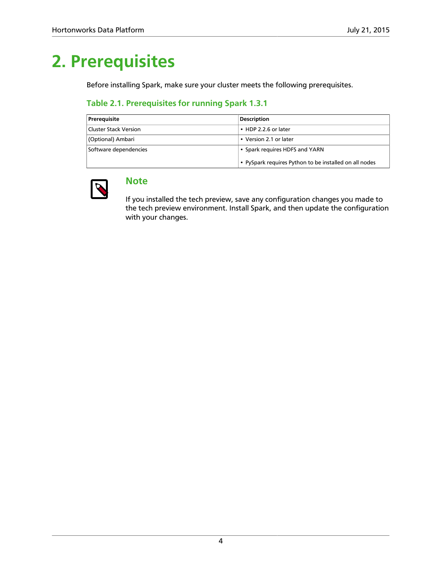# <span id="page-7-0"></span>**2. Prerequisites**

Before installing Spark, make sure your cluster meets the following prerequisites.

#### <span id="page-7-1"></span>**Table 2.1. Prerequisites for running Spark 1.3.1**

| Prerequisite          | <b>Description</b>                                     |
|-----------------------|--------------------------------------------------------|
| Cluster Stack Version | $\cdot$ HDP 2.2.6 or later                             |
| (Optional) Ambari     | • Version 2.1 or later                                 |
| Software dependencies | • Spark requires HDFS and YARN                         |
|                       | • PySpark requires Python to be installed on all nodes |



### **Note**

If you installed the tech preview, save any configuration changes you made to the tech preview environment. Install Spark, and then update the configuration with your changes.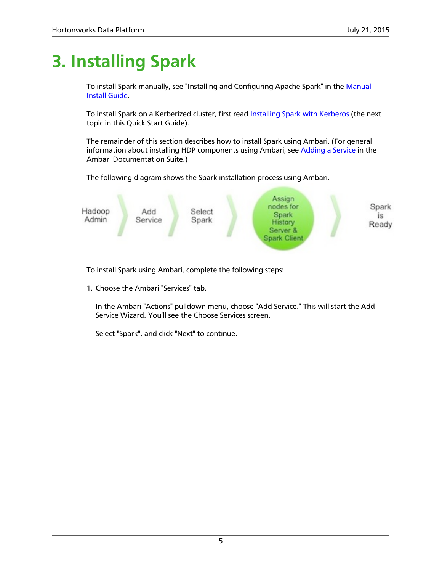# <span id="page-8-0"></span>**3. Installing Spark**

To install Spark manually, see "Installing and Configuring Apache Spark" in the [Manual](https://docs.hortonworks.com/HDPDocuments/HDP2/HDP-2.3.0/bk_installing_manually_book/content/ch_getting_ready_chapter.html) [Install Guide.](https://docs.hortonworks.com/HDPDocuments/HDP2/HDP-2.3.0/bk_installing_manually_book/content/ch_getting_ready_chapter.html)

To install Spark on a Kerberized cluster, first read [Installing Spark with Kerberos](https://docs.hortonworks.com/HDPDocuments/HDP2/HDP-2.3.0/bk_spark-quickstart/content/ch_installing-kerb-spark-quickstart.html) (the next topic in this Quick Start Guide).

The remainder of this section describes how to install Spark using Ambari. (For general information about installing HDP components using Ambari, see [Adding a Service](https://docs.hortonworks.com/HDPDocuments/Ambari-2.1.2.1/bk_Ambari_Users_Guide/content/_adding_a_service_to_your_hadoop_cluster.html) in the Ambari Documentation Suite.)

The following diagram shows the Spark installation process using Ambari.



To install Spark using Ambari, complete the following steps:

1. Choose the Ambari "Services" tab.

In the Ambari "Actions" pulldown menu, choose "Add Service." This will start the Add Service Wizard. You'll see the Choose Services screen.

Select "Spark", and click "Next" to continue.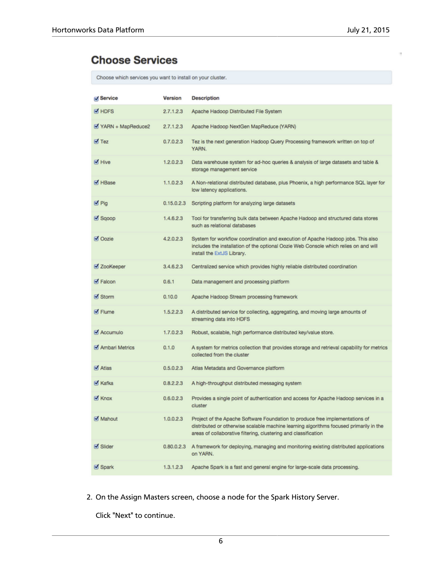### **Choose Services**

Choose which services you want to install on your cluster.

| Service           | Version    | <b>Description</b>                                                                                                                                                                                                                        |
|-------------------|------------|-------------------------------------------------------------------------------------------------------------------------------------------------------------------------------------------------------------------------------------------|
| M HDFS            | 2.7.1.2.3  | Apache Hadoop Distributed File System                                                                                                                                                                                                     |
| YARN + MapReduce2 | 2.7.1.2.3  | Apache Hadoop NextGen MapReduce (YARN)                                                                                                                                                                                                    |
| $\sqrt{1}$ Tez    | 0.7.0.2.3  | Tez is the next generation Hadoop Query Processing framework written on top of<br>YARN.                                                                                                                                                   |
| M Hive            | 1.2.0.2.3  | Data warehouse system for ad-hoc queries & analysis of large datasets and table &<br>storage management service                                                                                                                           |
| M HBase           | 1.1.0.2.3  | A Non-relational distributed database, plus Phoenix, a high performance SQL layer for<br>low latency applications.                                                                                                                        |
| Ø Pig             | 0.15.0.2.3 | Scripting platform for analyzing large datasets                                                                                                                                                                                           |
| Sqoop             | 1.4.6.2.3  | Tool for transferring bulk data between Apache Hadoop and structured data stores<br>such as relational databases                                                                                                                          |
| Ø Oozie           | 4.2.0.2.3  | System for workflow coordination and execution of Apache Hadoop jobs. This also<br>includes the installation of the optional Oozie Web Console which relies on and will<br>install the ExtJS Library.                                     |
| ■ ZooKeeper       | 3.4.6.2.3  | Centralized service which provides highly reliable distributed coordination                                                                                                                                                               |
| <b>M</b> Falcon   | 0.6.1      | Data management and processing platform                                                                                                                                                                                                   |
| Storm             | 0.10.0     | Apache Hadoop Stream processing framework                                                                                                                                                                                                 |
| <b>Ø</b> Flume    | 1.5.2.2.3  | A distributed service for collecting, aggregating, and moving large amounts of<br>streaming data into HDFS                                                                                                                                |
| Accumulo          | 1.7.0.2.3  | Robust, scalable, high performance distributed key/value store.                                                                                                                                                                           |
| Ambari Metrics    | 0.1.0      | A system for metrics collection that provides storage and retrieval capability for metrics<br>collected from the cluster                                                                                                                  |
| M Atlas           | 0.5.0.2.3  | Atlas Metadata and Governance platform                                                                                                                                                                                                    |
| M Kafka           | 0.8.2.2.3  | A high-throughput distributed messaging system                                                                                                                                                                                            |
| M Knox            | 0.6.0.2.3  | Provides a single point of authentication and access for Apache Hadoop services in a<br>cluster                                                                                                                                           |
| Mahout            | 1.0.0.2.3  | Project of the Apache Software Foundation to produce free implementations of<br>distributed or otherwise scalable machine learning algorithms focused primarily in the<br>areas of collaborative filtering, clustering and classification |
| <b>M</b> Slider   | 0.80.0.2.3 | A framework for deploying, managing and monitoring existing distributed applications<br>on YARN.                                                                                                                                          |
| Ø Spark           | 1.3.1.2.3  | Apache Spark is a fast and general engine for large-scale data processing.                                                                                                                                                                |

2. On the Assign Masters screen, choose a node for the Spark History Server.

Click "Next" to continue.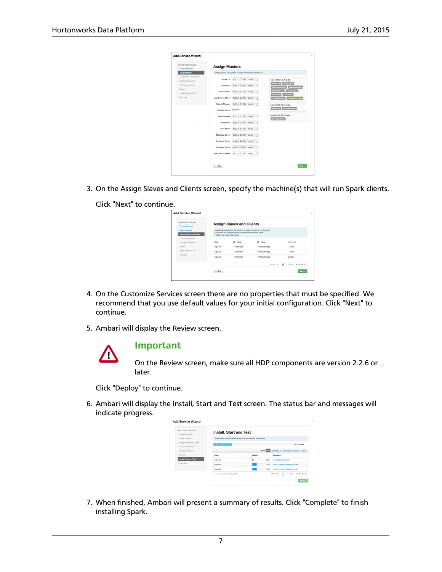| ADD SERVICE WIZARD<br><b>Choose Services</b>    | <b>Assign Masters</b>     |                                                            |   |                                                                                    |
|-------------------------------------------------|---------------------------|------------------------------------------------------------|---|------------------------------------------------------------------------------------|
| Assign Masters                                  |                           | Assign master components to hosts you want to run them on. |   |                                                                                    |
| Assign Slaves and Clients<br>Customize Services | NameNode:                 | hdp1.id (3.7 GB, 1 cores)                                  | ٠ | hdo1.ld (3.7 GB, 1 cores)                                                          |
| Configure Identities                            | NameNode:                 | hdp2.icl (2.8 GB, 1 cores)                                 | ٠ | NameNode History Server<br>ResourceManager<br>App Timeline Server                  |
| Review<br>Install, Start and Test               | History Server:           | hdp1.id (3.7 GB, 1 cores)                                  | ٠ | <b>Hive Metanton</b><br><b>WebHCat Servi</b><br>Ocide Server<br><b>HiveServer2</b> |
| Summary                                         | App Timeline Server:      | hdp1.kd (3.7 GB, 1 cores)                                  | ٠ | Spark History Server<br><b>ZooKeeper Server</b>                                    |
|                                                 | ResourceManager:          | hdp1.kd (3.7 GB, 1 cores)                                  | ٠ | hdp2.lcl (2.8 GB, 1 cores)                                                         |
|                                                 | WebHCat Server: hdp1.icl+ |                                                            |   | NameNode ZooKeeper Server                                                          |
|                                                 | <b>Hive Metastore:</b>    | hdp1.lcl (3.7 GB, 1 cores)                                 | ٠ | hdp3.ld (1.8 GB, 1 cores)<br>ZooKaaper Server                                      |
|                                                 | HiveServer2:              | hdp1.ld (3.7 GB, 1 cores)                                  | ٠ |                                                                                    |
| ٠                                               | Oozie Server:             | hdp1.ld (3.7 GB, 1 cores)                                  | ٠ |                                                                                    |
|                                                 |                           | ZooKeeper Server: hdp1.id (3.7 GB, 1 cores)                | ۶ |                                                                                    |
|                                                 | ZooKeeper Server:         | hdp2.icl (2.8 GB, 1 cores)                                 | ۳ |                                                                                    |
|                                                 |                           | ZooKeeper Server: hdp3.icl (1.8 GB, 1 cores)               | ٠ |                                                                                    |
|                                                 |                           | Spark History Server: hdp1.id (3.7 GB, 1 cores)            | ٠ |                                                                                    |
|                                                 |                           |                                                            |   |                                                                                    |

3. On the Assign Slaves and Clients screen, specify the machine(s) that will run Spark clients.

Click "Next" to continue.

| ADD SERVICE WIZARD                                             |           | <b>Assign Slaves and Clients</b>                                                                                                                                          |             |                     |
|----------------------------------------------------------------|-----------|---------------------------------------------------------------------------------------------------------------------------------------------------------------------------|-------------|---------------------|
| Choose Services<br>Assign Masters<br>Assign Slaves and Clients |           | Assign slave and client components to hosts you want to run them on.<br>Hosts that are assigned master components are shown with «.<br>"Client" will install Spark Client |             |                     |
| Customize Services<br>Configure Identities                     | Host      | all I none                                                                                                                                                                | all I none  | all I none          |
| Review                                                         | hdo1.lole | M DataNode                                                                                                                                                                | ModeManager | Client              |
| Install, Start and Test                                        | hde2.lole | C DataNode                                                                                                                                                                | ModeManager | Client              |
| Summary                                                        | hdo3.lole | C DataNode                                                                                                                                                                | ModeManager | <b>K</b> Clent      |
|                                                                |           |                                                                                                                                                                           | Show: 25    | ч<br>1-3cf3 K + + N |
|                                                                | $-$ Back  |                                                                                                                                                                           |             | Next $\rightarrow$  |

- 4. On the Customize Services screen there are no properties that must be specified. We recommend that you use default values for your initial configuration. Click "Next" to continue.
- 5. Ambari will display the Review screen.



#### **Important**

On the Review screen, make sure all HDP components are version 2.2.6 or later.

Click "Deploy" to continue.

6. Ambari will display the Install, Start and Test screen. The status bar and messages will indicate progress.

| ADD SERVICE WIZARD                              | <b>Install, Start and Test</b>  |                                                                    |     |                                                                  |
|-------------------------------------------------|---------------------------------|--------------------------------------------------------------------|-----|------------------------------------------------------------------|
| Choose Services<br>Assign Masters               |                                 | Please wait while the selected services are installed and started. |     |                                                                  |
| Assign Slaves and Clients<br>Customize Servines |                                 |                                                                    |     | 24 % overall                                                     |
| Configure Identities                            |                                 |                                                                    |     | Show: MEE In Progress (3)   Warning (3)   Success (3)   Fall (3) |
| Review                                          | Host                            | <b>Status</b>                                                      |     | Message                                                          |
| Install, Start and Test                         | hdo1.lcl                        |                                                                    | 8%  | Installing Spark Client                                          |
| Summary                                         | hdo2.lcl                        |                                                                    | 33% | Install complete (Walting to start)                              |
|                                                 | hdp3.lcl                        |                                                                    | 33% | Install complete (Walting to start)                              |
|                                                 | 3 of 3 hosts showing - Show All |                                                                    |     | 1-3 of 3 $M + 2M$<br>$\cdot$<br>Show: 25                         |

7. When finished, Ambari will present a summary of results. Click "Complete" to finish installing Spark.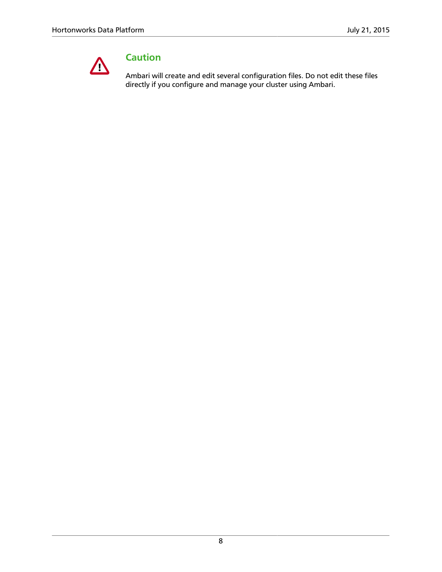

### **Caution**

Ambari will create and edit several configuration files. Do not edit these files directly if you configure and manage your cluster using Ambari.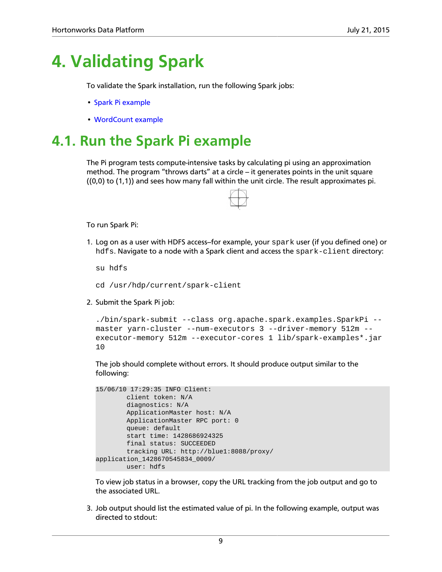### <span id="page-12-0"></span>**4. Validating Spark**

To validate the Spark installation, run the following Spark jobs:

- [Spark Pi example](https://docs.hortonworks.com/HDPDocuments/HDP2/HDP-2.3.0/bk_spark-quickstart/content/run_spark_pi.html)
- [WordCount example](https://docs.hortonworks.com/HDPDocuments/HDP2/HDP-2.3.0/bk_spark-quickstart/content/run_wordcount.html)

### <span id="page-12-1"></span>**4.1. Run the Spark Pi example**

The Pi program tests compute-intensive tasks by calculating pi using an approximation method. The program "throws darts" at a circle - it generates points in the unit square ((0,0) to (1,1)) and sees how many fall within the unit circle. The result approximates pi.



To run Spark Pi:

1. Log on as a user with HDFS access--for example, your spark user (if you defined one) or hdfs. Navigate to a node with a Spark client and access the spark-client directory:

su hdfs

- cd /usr/hdp/current/spark-client
- 2. Submit the Spark Pi job:

```
./bin/spark-submit --class org.apache.spark.examples.SparkPi --
master yarn-cluster --num-executors 3 --driver-memory 512m --
executor-memory 512m --executor-cores 1 lib/spark-examples*.jar
10
```
The job should complete without errors. It should produce output similar to the following:

```
15/06/10 17:29:35 INFO Client:
         client token: N/A
         diagnostics: N/A
         ApplicationMaster host: N/A
         ApplicationMaster RPC port: 0
         queue: default
         start time: 1428686924325
         final status: SUCCEEDED
         tracking URL: http://blue1:8088/proxy/
application_1428670545834_0009/
         user: hdfs
```
To view job status in a browser, copy the URL tracking from the job output and go to the associated URL.

3. Job output should list the estimated value of pi. In the following example, output was directed to stdout: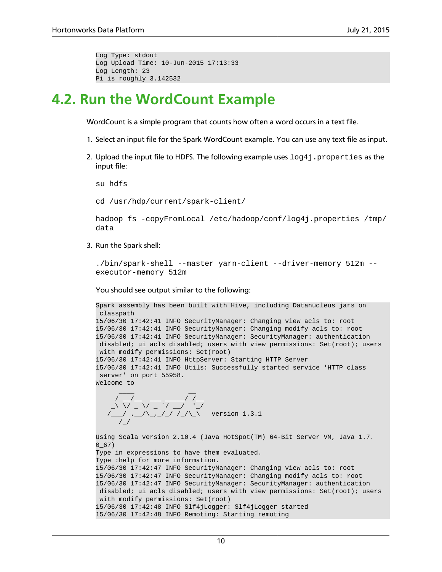```
Log Type: stdout
Log Upload Time: 10-Jun-2015 17:13:33
Log Length: 23
Pi is roughly 3.142532
```
### <span id="page-13-0"></span>**4.2. Run the WordCount Example**

WordCount is a simple program that counts how often a word occurs in a text file.

- 1. Select an input file for the Spark WordCount example. You can use any text file as input.
- 2. Upload the input file to HDFS. The following example uses  $log 4j$  properties as the input file:

su hdfs

cd /usr/hdp/current/spark-client/

```
hadoop fs -copyFromLocal /etc/hadoop/conf/log4j.properties /tmp/
data
```
3. Run the Spark shell:

```
./bin/spark-shell --master yarn-client --driver-memory 512m --
executor-memory 512m
```
You should see output similar to the following:

```
Spark assembly has been built with Hive, including Datanucleus jars on
 classpath
15/06/30 17:42:41 INFO SecurityManager: Changing view acls to: root
15/06/30 17:42:41 INFO SecurityManager: Changing modify acls to: root
15/06/30 17:42:41 INFO SecurityManager: SecurityManager: authentication
 disabled; ui acls disabled; users with view permissions: Set(root); users
 with modify permissions: Set(root)
15/06/30 17:42:41 INFO HttpServer: Starting HTTP Server
15/06/30 17:42:41 INFO Utils: Successfully started service 'HTTP class
 server' on port 55958.
Welcome to
\frac{1}{2} , \frac{1}{2} , \frac{1}{2} , \frac{1}{2} , \frac{1}{2} , \frac{1}{2} , \frac{1}{2}
```
 / \_\_/\_\_ \_\_\_ \_\_\_\_\_/ /\_\_  $\_ \_ \_ \_ \_ \_ \_ \_ \_$ /\_\_\_/ .\_\_/\\_,\_/\_/ /\_/\\_\ version 1.3.1  $/$  /  $/$ 

Using Scala version 2.10.4 (Java HotSpot(TM) 64-Bit Server VM, Java 1.7. 0\_67) Type in expressions to have them evaluated. Type :help for more information. 15/06/30 17:42:47 INFO SecurityManager: Changing view acls to: root 15/06/30 17:42:47 INFO SecurityManager: Changing modify acls to: root 15/06/30 17:42:47 INFO SecurityManager: SecurityManager: authentication disabled; ui acls disabled; users with view permissions: Set(root); users with modify permissions: Set(root) 15/06/30 17:42:48 INFO Slf4jLogger: Slf4jLogger started 15/06/30 17:42:48 INFO Remoting: Starting remoting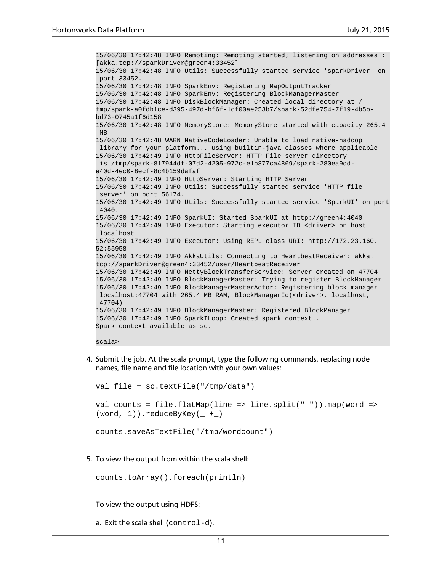15/06/30 17:42:48 INFO Remoting: Remoting started; listening on addresses : [akka.tcp://sparkDriver@green4:33452] 15/06/30 17:42:48 INFO Utils: Successfully started service 'sparkDriver' on port 33452. 15/06/30 17:42:48 INFO SparkEnv: Registering MapOutputTracker 15/06/30 17:42:48 INFO SparkEnv: Registering BlockManagerMaster 15/06/30 17:42:48 INFO DiskBlockManager: Created local directory at / tmp/spark-a0fdb1ce-d395-497d-bf6f-1cf00ae253b7/spark-52dfe754-7f19-4b5bbd73-0745a1f6d158 15/06/30 17:42:48 INFO MemoryStore: MemoryStore started with capacity 265.4 MB 15/06/30 17:42:48 WARN NativeCodeLoader: Unable to load native-hadoop library for your platform... using builtin-java classes where applicable 15/06/30 17:42:49 INFO HttpFileServer: HTTP File server directory is /tmp/spark-817944df-07d2-4205-972c-e1b877ca4869/spark-280ea9dde40d-4ec0-8ecf-8c4b159dafaf 15/06/30 17:42:49 INFO HttpServer: Starting HTTP Server 15/06/30 17:42:49 INFO Utils: Successfully started service 'HTTP file server' on port 56174. 15/06/30 17:42:49 INFO Utils: Successfully started service 'SparkUI' on port 4040. 15/06/30 17:42:49 INFO SparkUI: Started SparkUI at http://green4:4040 15/06/30 17:42:49 INFO Executor: Starting executor ID <driver> on host localhost 15/06/30 17:42:49 INFO Executor: Using REPL class URI: http://172.23.160. 52:55958 15/06/30 17:42:49 INFO AkkaUtils: Connecting to HeartbeatReceiver: akka. tcp://sparkDriver@green4:33452/user/HeartbeatReceiver 15/06/30 17:42:49 INFO NettyBlockTransferService: Server created on 47704 15/06/30 17:42:49 INFO BlockManagerMaster: Trying to register BlockManager 15/06/30 17:42:49 INFO BlockManagerMasterActor: Registering block manager localhost:47704 with 265.4 MB RAM, BlockManagerId(<driver>, localhost, 47704) 15/06/30 17:42:49 INFO BlockManagerMaster: Registered BlockManager 15/06/30 17:42:49 INFO SparkILoop: Created spark context.. Spark context available as sc. scala>

4. Submit the job. At the scala prompt, type the following commands, replacing node names, file name and file location with your own values:

```
val file = sc.textFile("/tmp/data")
val counts = file.flatMap(line => line.split(" ")).map(word =>
(word, 1). reduceByKey( _ + _ )
```

```
counts.saveAsTextFile("/tmp/wordcount")
```
5. To view the output from within the scala shell:

```
counts.toArray().foreach(println)
```
To view the output using HDFS:

```
a. Exit the scala shell (control-d).
```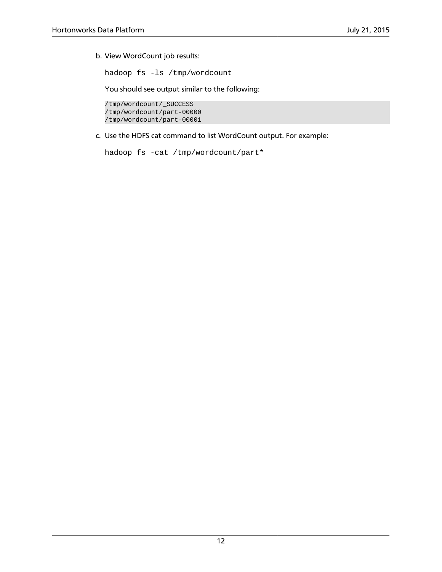b. View WordCount job results:

hadoop fs -ls /tmp/wordcount

You should see output similar to the following:

/tmp/wordcount/\_SUCCESS /tmp/wordcount/part-00000 /tmp/wordcount/part-00001

c. Use the HDFS cat command to list WordCount output. For example:

```
hadoop fs -cat /tmp/wordcount/part*
```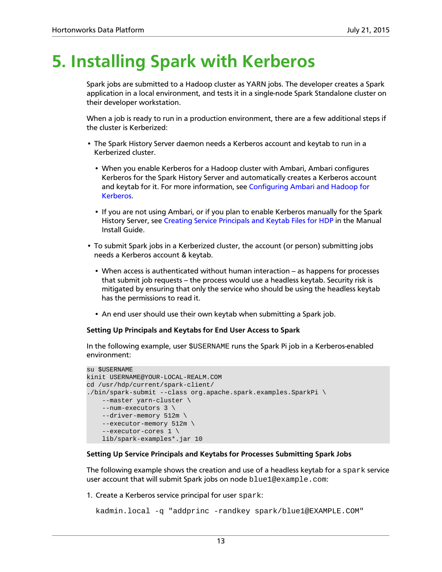# <span id="page-16-0"></span>**5. Installing Spark with Kerberos**

Spark jobs are submitted to a Hadoop cluster as YARN jobs. The developer creates a Spark application in a local environment, and tests it in a single-node Spark Standalone cluster on their developer workstation.

When a job is ready to run in a production environment, there are a few additional steps if the cluster is Kerberized:

- The Spark History Server daemon needs a Kerberos account and keytab to run in a Kerberized cluster.
	- When you enable Kerberos for a Hadoop cluster with Ambari, Ambari configures Kerberos for the Spark History Server and automatically creates a Kerberos account and keytab for it. For more information, see [Configuring Ambari and Hadoop for](https://docs.hortonworks.com/HDPDocuments/Ambari-2.1.2.1/bk_Ambari_Security_Guide/content/ch_configuring_amb_hdp_for_kerberos.html) [Kerberos](https://docs.hortonworks.com/HDPDocuments/Ambari-2.1.2.1/bk_Ambari_Security_Guide/content/ch_configuring_amb_hdp_for_kerberos.html).
	- If you are not using Ambari, or if you plan to enable Kerberos manually for the Spark History Server, see [Creating Service Principals and Keytab Files for HDP](https://docs.hortonworks.com/HDPDocuments/HDP2/HDP-2.3.0/bk_installing_manually_book/content/creating_service_principals_and_keytab_files_for_hdp.html) in the Manual Install Guide.
- To submit Spark jobs in a Kerberized cluster, the account (or person) submitting jobs needs a Kerberos account & keytab.
	- When access is authenticated without human interaction as happens for processes that submit job requests – the process would use a headless keytab. Security risk is mitigated by ensuring that only the service who should be using the headless keytab has the permissions to read it.
	- An end user should use their own keytab when submitting a Spark job.

#### **Setting Up Principals and Keytabs for End User Access to Spark**

In the following example, user \$USERNAME runs the Spark Pi job in a Kerberos-enabled environment:

```
su $USERNAME
kinit USERNAME@YOUR-LOCAL-REALM.COM 
cd /usr/hdp/current/spark-client/
./bin/spark-submit --class org.apache.spark.examples.SparkPi \
     --master yarn-cluster \
    --num-executors 3 \
     --driver-memory 512m \
    --executor-memory 512m \
     --executor-cores 1 \
    lib/spark-examples*.jar 10
```
#### **Setting Up Service Principals and Keytabs for Processes Submitting Spark Jobs**

The following example shows the creation and use of a headless keytab for a  $\epsilon$  spark service user account that will submit Spark jobs on node blue1@example.com:

1. Create a Kerberos service principal for user spark:

```
kadmin.local -q "addprinc -randkey spark/blue1@EXAMPLE.COM"
```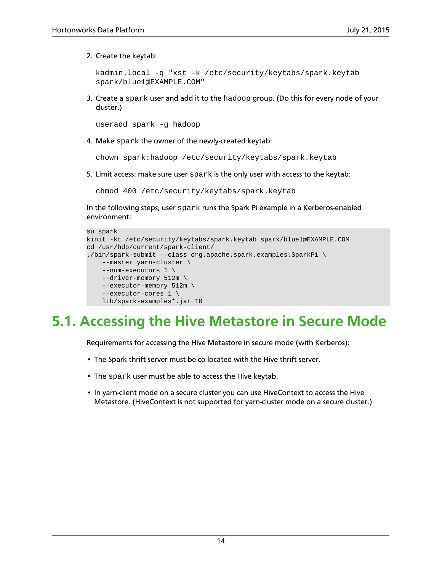2. Create the keytab:

```
kadmin.local -q "xst -k /etc/security/keytabs/spark.keytab
spark/blue1@EXAMPLE.COM"
```
3. Create a spark user and add it to the hadoop group. (Do this for every node of your cluster.)

useradd spark -g hadoop

4. Make spark the owner of the newly-created keytab:

chown spark:hadoop /etc/security/keytabs/spark.keytab

5. Limit access: make sure user spark is the only user with access to the keytab:

chmod 400 /etc/security/keytabs/spark.keytab

In the following steps, user spark runs the Spark Pi example in a Kerberos-enabled environment:

```
su spark 
kinit -kt /etc/security/keytabs/spark.keytab spark/blue1@EXAMPLE.COM
cd /usr/hdp/current/spark-client/
./bin/spark-submit --class org.apache.spark.examples.SparkPi \
     --master yarn-cluster \
    --num-executors 1 \
    --driver-memory 512m \
     --executor-memory 512m \
     --executor-cores 1 \
    lib/spark-examples*.jar 10
```
### <span id="page-17-0"></span>**5.1. Accessing the Hive Metastore in Secure Mode**

Requirements for accessing the Hive Metastore in secure mode (with Kerberos):

- The Spark thrift server must be co-located with the Hive thrift server.
- The spark user must be able to access the Hive keytab.
- In yarn-client mode on a secure cluster you can use HiveContext to access the Hive Metastore. (HiveContext is not supported for yarn-cluster mode on a secure cluster.)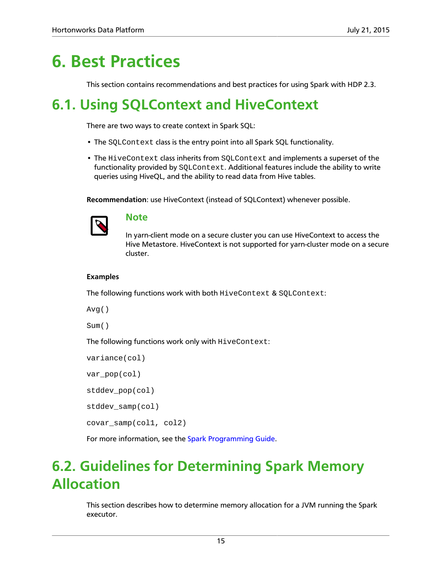### <span id="page-18-0"></span>**6. Best Practices**

This section contains recommendations and best practices for using Spark with HDP 2.3.

### <span id="page-18-1"></span>**6.1. Using SQLContext and HiveContext**

There are two ways to create context in Spark SQL:

- The SQLContext class is the entry point into all Spark SQL functionality.
- The HiveContext class inherits from SQLContext and implements a superset of the functionality provided by SQLContext. Additional features include the ability to write queries using HiveQL, and the ability to read data from Hive tables.

**Recommendation**: use HiveContext (instead of SQLContext) whenever possible.



#### **Note**

In yarn-client mode on a secure cluster you can use HiveContext to access the Hive Metastore. HiveContext is not supported for yarn-cluster mode on a secure cluster.

#### **Examples**

The following functions work with both HiveContext & SQLContext:

Avg()

Sum()

The following functions work only with HiveContext:

```
variance(col)
var pop(col)
stddev pop(col)
stddev samp(col)
covar_samp(col1, col2)
```
For more information, see the [Spark Programming Guide.](https://spark.apache.org/docs/1.3.1/sql-programming-guide.html#starting-point-sqlcontext)

### <span id="page-18-2"></span>**6.2. Guidelines for Determining Spark Memory Allocation**

This section describes how to determine memory allocation for a JVM running the Spark executor.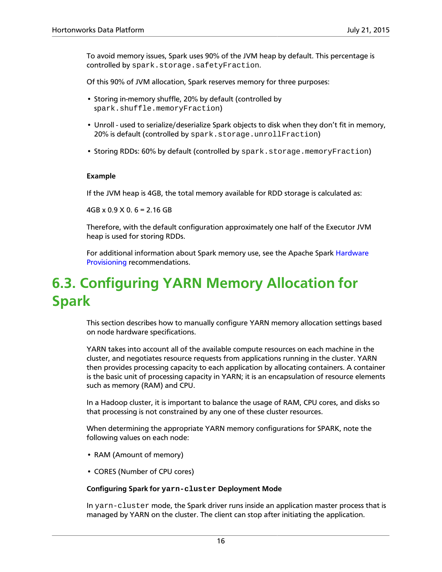To avoid memory issues, Spark uses 90% of the JVM heap by default. This percentage is controlled by spark.storage.safetyFraction.

Of this 90% of JVM allocation, Spark reserves memory for three purposes:

- Storing in-memory shuffle, 20% by default (controlled by spark.shuffle.memoryFraction)
- Unroll used to serialize/deserialize Spark objects to disk when they don't fit in memory, 20% is default (controlled by spark.storage.unrollFraction)
- Storing RDDs: 60% by default (controlled by spark.storage.memoryFraction)

#### **Example**

If the JVM heap is 4GB, the total memory available for RDD storage is calculated as:

4GB x 0.9 X 0. 6 = 2.16 GB

Therefore, with the default configuration approximately one half of the Executor JVM heap is used for storing RDDs.

For additional information about Spark memory use, see the Apache Spark [Hardware](https://spark.apache.org/docs/1.3.1/hardware-provisioning.html) [Provisioning](https://spark.apache.org/docs/1.3.1/hardware-provisioning.html) recommendations.

### <span id="page-19-0"></span>**6.3. Configuring YARN Memory Allocation for Spark**

This section describes how to manually configure YARN memory allocation settings based on node hardware specifications.

YARN takes into account all of the available compute resources on each machine in the cluster, and negotiates resource requests from applications running in the cluster. YARN then provides processing capacity to each application by allocating containers. A container is the basic unit of processing capacity in YARN; it is an encapsulation of resource elements such as memory (RAM) and CPU.

In a Hadoop cluster, it is important to balance the usage of RAM, CPU cores, and disks so that processing is not constrained by any one of these cluster resources.

When determining the appropriate YARN memory configurations for SPARK, note the following values on each node:

- RAM (Amount of memory)
- CORES (Number of CPU cores)

#### **Configuring Spark for yarn-cluster Deployment Mode**

In yarn-cluster mode, the Spark driver runs inside an application master process that is managed by YARN on the cluster. The client can stop after initiating the application.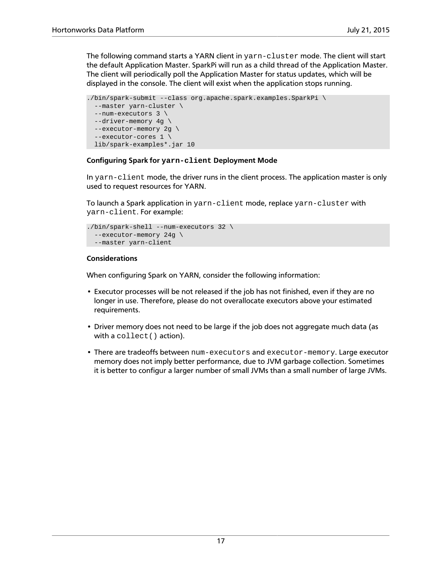The following command starts a YARN client in yarn-cluster mode. The client will start the default Application Master. SparkPi will run as a child thread of the Application Master. The client will periodically poll the Application Master for status updates, which will be displayed in the console. The client will exist when the application stops running.

```
./bin/spark-submit --class org.apache.spark.examples.SparkPi \
  --master yarn-cluster \ 
  --num-executors 3 \ 
  --driver-memory 4g \ 
  --executor-memory 2g \ 
   --executor-cores 1 \ 
  lib/spark-examples*.jar 10
```
#### **Configuring Spark for yarn-client Deployment Mode**

In yarn-client mode, the driver runs in the client process. The application master is only used to request resources for YARN.

To launch a Spark application in yarn-client mode, replace yarn-cluster with yarn-client. For example:

```
./bin/spark-shell --num-executors 32 \
  --executor-memory 24g \
  --master yarn-client
```
#### **Considerations**

When configuring Spark on YARN, consider the following information:

- Executor processes will be not released if the job has not finished, even if they are no longer in use. Therefore, please do not overallocate executors above your estimated requirements.
- Driver memory does not need to be large if the job does not aggregate much data (as with a collect() action).
- There are tradeoffs between num-executors and executor-memory. Large executor memory does not imply better performance, due to JVM garbage collection. Sometimes it is better to configur a larger number of small JVMs than a small number of large JVMs.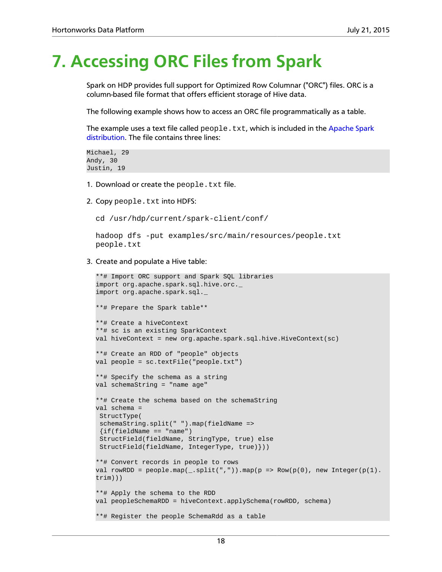# <span id="page-21-0"></span>**7. Accessing ORC Files from Spark**

Spark on HDP provides full support for Optimized Row Columnar ("ORC") files. ORC is a column-based file format that offers efficient storage of Hive data.

The following example shows how to access an ORC file programmatically as a table.

The example uses a text file called people.txt, which is included in the [Apache Spark](https://github.com/apache/spark/blob/master/examples/src/main/resources/people.txt) [distribution.](https://github.com/apache/spark/blob/master/examples/src/main/resources/people.txt) The file contains three lines:

```
Michael, 29
Andy, 30
Justin, 19
```
- 1. Download or create the people.txt file.
- 2. Copy people.txt into HDFS:

```
cd /usr/hdp/current/spark-client/conf/
```
hadoop dfs -put examples/src/main/resources/people.txt people.txt

3. Create and populate a Hive table:

```
**# Import ORC support and Spark SQL libraries
import org.apache.spark.sql.hive.orc._ 
import org.apache.spark.sql._ 
**# Prepare the Spark table**
**# Create a hiveContext
**# sc is an existing SparkContext 
val hiveContext = new org.apache.spark.sql.hive.HiveContext(sc)
**# Create an RDD of "people" objects
val people = sc.textFile("people.txt")
**# Specify the schema as a string 
val schemaString = "name age" 
**# Create the schema based on the schemaString
val schema = 
 StructType(
  schemaString.split(" ").map(fieldName => 
 \{if(fieldName == "name") StructField(fieldName, StringType, true) else
 StructField(fieldName, IntegerType, true)})) 
**# Convert records in people to rows
val rowRDD = people.mac(-split(" , ")) .map(p => Row(p(0) , new Integer(p(1) .trim))) 
**# Apply the schema to the RDD 
val peopleSchemaRDD = hiveContext.applySchema(rowRDD, schema) 
**# Register the people SchemaRdd as a table
```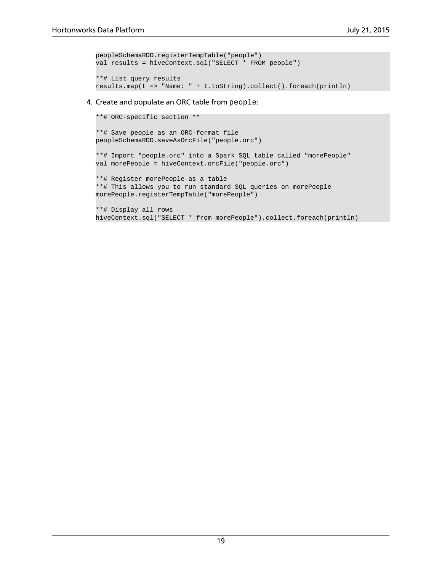```
peopleSchemaRDD.registerTempTable("people") 
val results = hiveContext.sql("SELECT * FROM people")
**# List query results
results.map(t => "Name: " + t.toString).collect().foreach(println)
```
#### 4. Create and populate an ORC table from people:

```
**# ORC-specific section **
**# Save people as an ORC-format file
peopleSchemaRDD.saveAsOrcFile("people.orc") 
**# Import "people.orc" into a Spark SQL table called "morePeople"
val morePeople = hiveContext.orcFile("people.orc")
**# Register morePeople as a table 
**# This allows you to run standard SQL queries on morePeople
morePeople.registerTempTable("morePeople") 
**# Display all rows
hiveContext.sql("SELECT * from morePeople").collect.foreach(println)
```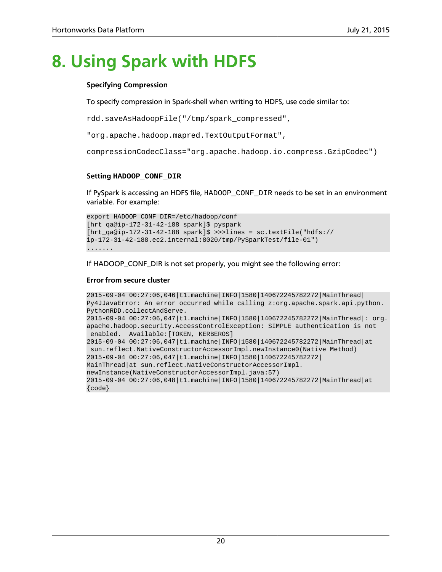# <span id="page-23-0"></span>**8. Using Spark with HDFS**

#### **Specifying Compression**

To specify compression in Spark-shell when writing to HDFS, use code similar to:

rdd.saveAsHadoopFile("/tmp/spark\_compressed",

"org.apache.hadoop.mapred.TextOutputFormat",

compressionCodecClass="org.apache.hadoop.io.compress.GzipCodec")

#### **Setting HADOOP\_CONF\_DIR**

If PySpark is accessing an HDFS file, HADOOP\_CONF\_DIR needs to be set in an environment variable. For example:

```
export HADOOP_CONF_DIR=/etc/hadoop/conf
[hrt_qa@ip-172-31-42-188 spark]$ pyspark
[hrt_qa@ip-172-31-42-188 spark]$ >>>lines = sc.textFile("hdfs://
ip-172-31-42-188.ec2.internal:8020/tmp/PySparkTest/file-01")
.......
```
If HADOOP\_CONF\_DIR is not set properly, you might see the following error:

#### **Error from secure cluster**

```
2015-09-04 00:27:06,046|t1.machine|INFO|1580|140672245782272|MainThread|
Py4JJavaError: An error occurred while calling z:org.apache.spark.api.python.
PythonRDD.collectAndServe.
2015-09-04 00:27:06,047|t1.machine|INFO|1580|140672245782272|MainThread|: org.
apache.hadoop.security.AccessControlException: SIMPLE authentication is not
 enabled. Available:[TOKEN, KERBEROS]
2015-09-04 00:27:06,047|t1.machine|INFO|1580|140672245782272|MainThread|at
 sun.reflect.NativeConstructorAccessorImpl.newInstance0(Native Method)
2015-09-04 00:27:06,047|t1.machine|INFO|1580|140672245782272|
MainThread|at sun.reflect.NativeConstructorAccessorImpl.
newInstance(NativeConstructorAccessorImpl.java:57)
2015-09-04 00:27:06,048|t1.machine|INFO|1580|140672245782272|MainThread|at 
{code}
```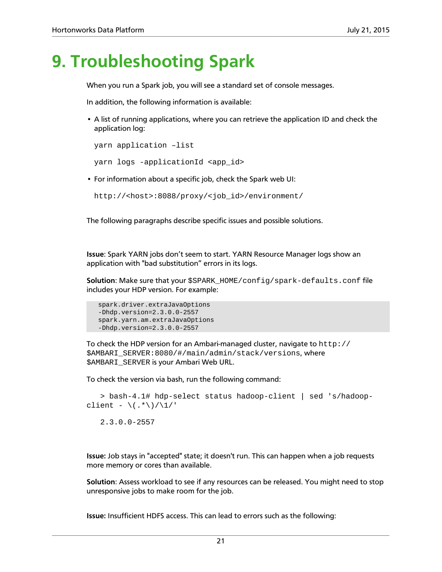# <span id="page-24-0"></span>**9. Troubleshooting Spark**

When you run a Spark job, you will see a standard set of console messages.

In addition, the following information is available:

• A list of running applications, where you can retrieve the application ID and check the application log:

```
yarn application –list
yarn logs -applicationId <app_id>
```
• For information about a specific job, check the Spark web UI:

```
http://<host>:8088/proxy/<job_id>/environment/
```
The following paragraphs describe specific issues and possible solutions.

**Issue**: Spark YARN jobs don't seem to start. YARN Resource Manager logs show an application with "bad substitution" errors in its logs.

**Solution**: Make sure that your \$SPARK\_HOME/config/spark-defaults.conf file includes your HDP version. For example:

```
 spark.driver.extraJavaOptions 
 -Dhdp.version=2.3.0.0-2557 
 spark.yarn.am.extraJavaOptions
 -Dhdp.version=2.3.0.0-2557
```
To check the HDP version for an Ambari-managed cluster, navigate to http:// \$AMBARI\_SERVER:8080/#/main/admin/stack/versions, where *SAMBARI SERVER is your Ambari Web URL.* 

To check the version via bash, run the following command:

```
 > bash-4.1# hdp-select status hadoop-client | sed 's/hadoop-
client - \langle .*\)/\1/'
```
2.3.0.0-2557

**Issue:** Job stays in "accepted" state; it doesn't run. This can happen when a job requests more memory or cores than available.

**Solution**: Assess workload to see if any resources can be released. You might need to stop unresponsive jobs to make room for the job.

**Issue:** Insufficient HDFS access. This can lead to errors such as the following: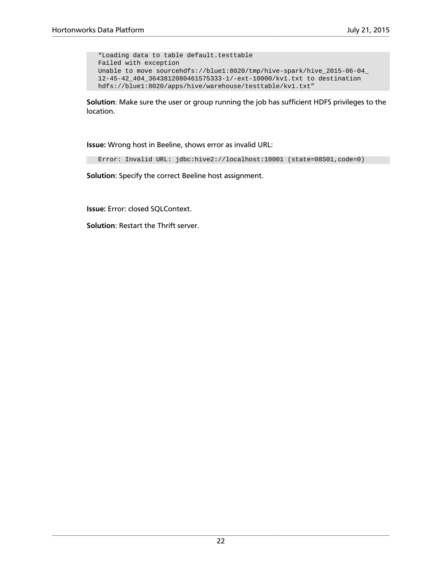```
 "Loading data to table default.testtable
 Failed with exception 
 Unable to move sourcehdfs://blue1:8020/tmp/hive-spark/hive_2015-06-04_
 12-45-42_404_3643812080461575333-1/-ext-10000/kv1.txt to destination 
 hdfs://blue1:8020/apps/hive/warehouse/testtable/kv1.txt"
```
**Solution**: Make sure the user or group running the job has sufficient HDFS privileges to the location.

**Issue:** Wrong host in Beeline, shows error as invalid URL:

Error: Invalid URL: jdbc:hive2://localhost:10001 (state=08S01,code=0)

**Solution**: Specify the correct Beeline host assignment.

**Issue:** Error: closed SQLContext.

**Solution**: Restart the Thrift server.